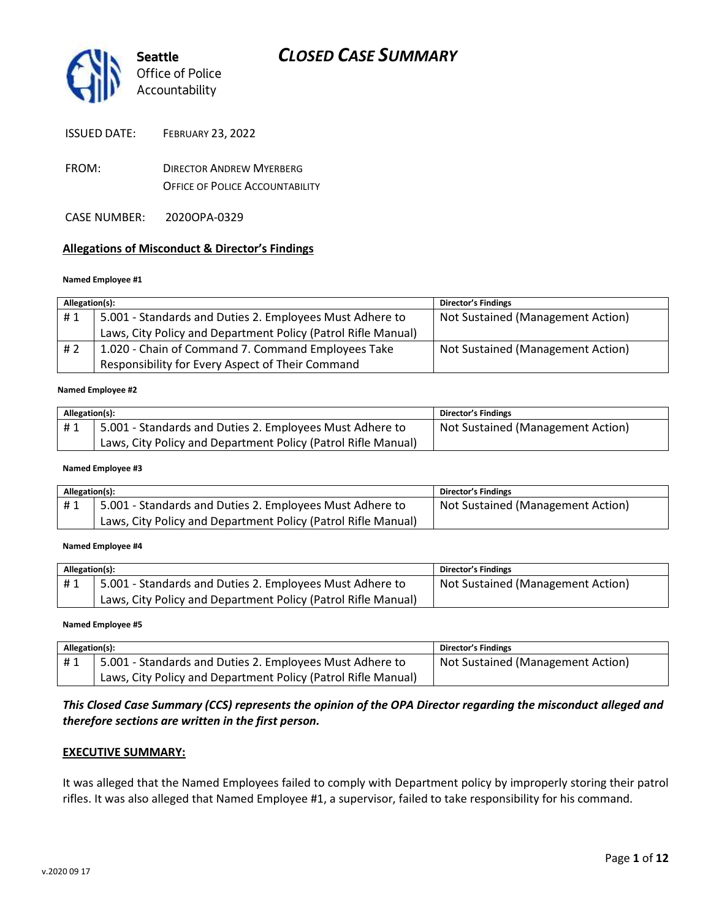

| <b>ISSUED DATE:</b> | <b>FEBRUARY 23, 2022</b> |
|---------------------|--------------------------|
|---------------------|--------------------------|

- FROM: DIRECTOR ANDREW MYERBERG OFFICE OF POLICE ACCOUNTABILITY
- CASE NUMBER: 2020OPA-0329

### **Allegations of Misconduct & Director's Findings**

#### **Named Employee #1**

| Allegation(s): |                                                               | <b>Director's Findings</b>        |
|----------------|---------------------------------------------------------------|-----------------------------------|
| #1             | 5.001 - Standards and Duties 2. Employees Must Adhere to      | Not Sustained (Management Action) |
|                | Laws, City Policy and Department Policy (Patrol Rifle Manual) |                                   |
| # 2            | 1.020 - Chain of Command 7. Command Employees Take            | Not Sustained (Management Action) |
|                | Responsibility for Every Aspect of Their Command              |                                   |
|                |                                                               |                                   |

#### **Named Employee #2**

| Allegation(s): |                                                               | <b>Director's Findings</b>        |
|----------------|---------------------------------------------------------------|-----------------------------------|
| #1             | 5.001 - Standards and Duties 2. Employees Must Adhere to      | Not Sustained (Management Action) |
|                | Laws, City Policy and Department Policy (Patrol Rifle Manual) |                                   |

#### **Named Employee #3**

| Allegation(s): |                                                               | Director's Findings               |
|----------------|---------------------------------------------------------------|-----------------------------------|
| #1             | 5.001 - Standards and Duties 2. Employees Must Adhere to      | Not Sustained (Management Action) |
|                | Laws, City Policy and Department Policy (Patrol Rifle Manual) |                                   |

#### **Named Employee #4**

| Allegation(s): |                                                               | <b>Director's Findings</b>        |
|----------------|---------------------------------------------------------------|-----------------------------------|
| #1             | 5.001 - Standards and Duties 2. Employees Must Adhere to      | Not Sustained (Management Action) |
|                | Laws, City Policy and Department Policy (Patrol Rifle Manual) |                                   |

#### **Named Employee #5**

| Allegation(s): |                                                               | <b>Director's Findings</b>        |
|----------------|---------------------------------------------------------------|-----------------------------------|
| #1             | 5.001 - Standards and Duties 2. Employees Must Adhere to      | Not Sustained (Management Action) |
|                | Laws, City Policy and Department Policy (Patrol Rifle Manual) |                                   |

## *This Closed Case Summary (CCS) represents the opinion of the OPA Director regarding the misconduct alleged and therefore sections are written in the first person.*

#### **EXECUTIVE SUMMARY:**

It was alleged that the Named Employees failed to comply with Department policy by improperly storing their patrol rifles. It was also alleged that Named Employee #1, a supervisor, failed to take responsibility for his command.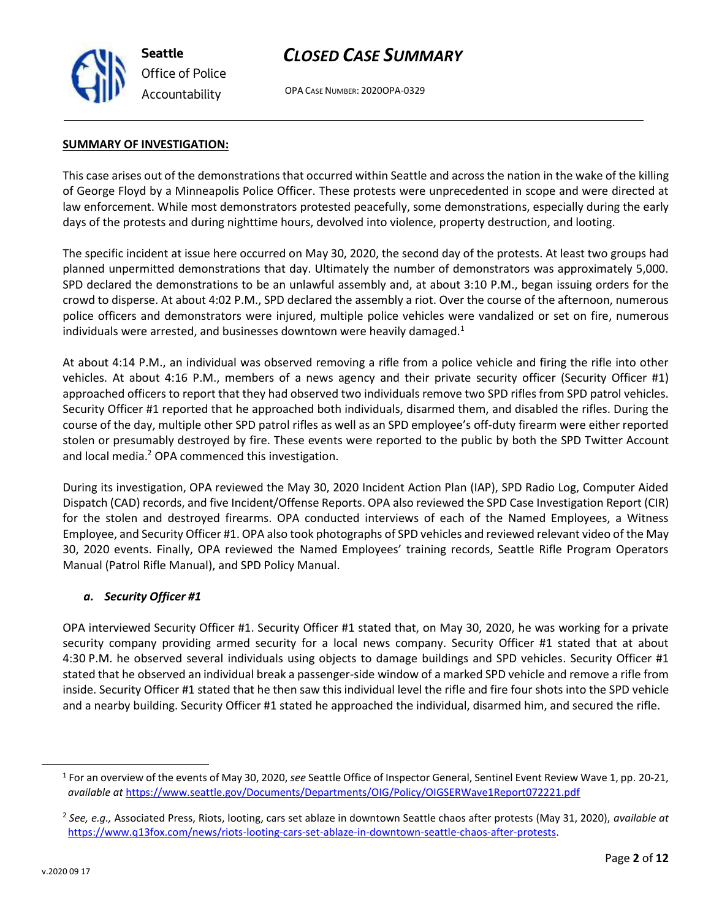

OPA CASE NUMBER: 2020OPA-0329

#### **SUMMARY OF INVESTIGATION:**

This case arises out of the demonstrations that occurred within Seattle and across the nation in the wake of the killing of George Floyd by a Minneapolis Police Officer. These protests were unprecedented in scope and were directed at law enforcement. While most demonstrators protested peacefully, some demonstrations, especially during the early days of the protests and during nighttime hours, devolved into violence, property destruction, and looting.

The specific incident at issue here occurred on May 30, 2020, the second day of the protests. At least two groups had planned unpermitted demonstrations that day. Ultimately the number of demonstrators was approximately 5,000. SPD declared the demonstrations to be an unlawful assembly and, at about 3:10 P.M., began issuing orders for the crowd to disperse. At about 4:02 P.M., SPD declared the assembly a riot. Over the course of the afternoon, numerous police officers and demonstrators were injured, multiple police vehicles were vandalized or set on fire, numerous individuals were arrested, and businesses downtown were heavily damaged.<sup>1</sup>

At about 4:14 P.M., an individual was observed removing a rifle from a police vehicle and firing the rifle into other vehicles. At about 4:16 P.M., members of a news agency and their private security officer (Security Officer #1) approached officers to report that they had observed two individuals remove two SPD rifles from SPD patrol vehicles. Security Officer #1 reported that he approached both individuals, disarmed them, and disabled the rifles. During the course of the day, multiple other SPD patrol rifles as well as an SPD employee's off-duty firearm were either reported stolen or presumably destroyed by fire. These events were reported to the public by both the SPD Twitter Account and local media.<sup>2</sup> OPA commenced this investigation.

During its investigation, OPA reviewed the May 30, 2020 Incident Action Plan (IAP), SPD Radio Log, Computer Aided Dispatch (CAD) records, and five Incident/Offense Reports. OPA also reviewed the SPD Case Investigation Report (CIR) for the stolen and destroyed firearms. OPA conducted interviews of each of the Named Employees, a Witness Employee, and Security Officer #1. OPA also took photographs of SPD vehicles and reviewed relevant video of the May 30, 2020 events. Finally, OPA reviewed the Named Employees' training records, Seattle Rifle Program Operators Manual (Patrol Rifle Manual), and SPD Policy Manual.

### *a. Security Officer #1*

OPA interviewed Security Officer #1. Security Officer #1 stated that, on May 30, 2020, he was working for a private security company providing armed security for a local news company. Security Officer #1 stated that at about 4:30 P.M. he observed several individuals using objects to damage buildings and SPD vehicles. Security Officer #1 stated that he observed an individual break a passenger-side window of a marked SPD vehicle and remove a rifle from inside. Security Officer #1 stated that he then saw this individual level the rifle and fire four shots into the SPD vehicle and a nearby building. Security Officer #1 stated he approached the individual, disarmed him, and secured the rifle.

<sup>1</sup> For an overview of the events of May 30, 2020, *see* Seattle Office of Inspector General, Sentinel Event Review Wave 1, pp. 20-21, *available at* <https://www.seattle.gov/Documents/Departments/OIG/Policy/OIGSERWave1Report072221.pdf>

<sup>2</sup> *See, e.g.,* Associated Press, Riots, looting, cars set ablaze in downtown Seattle chaos after protests (May 31, 2020), *available at* [https://www.q13fox.com/news/riots-looting-cars-set-ablaze-in-downtown-seattle-chaos-after-protests.](https://www.q13fox.com/news/riots-looting-cars-set-ablaze-in-downtown-seattle-chaos-after-protests)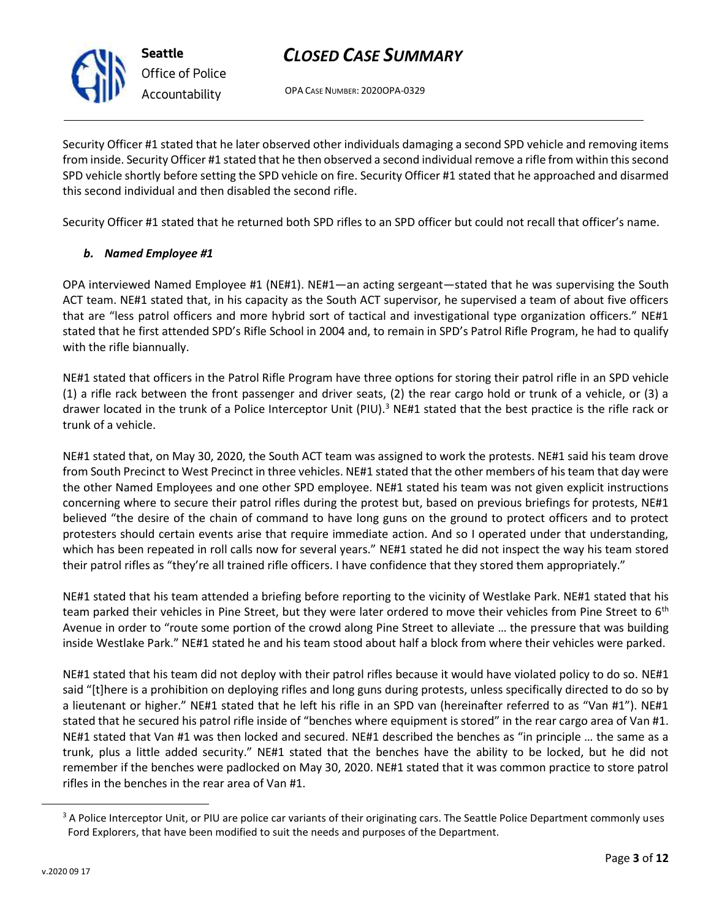

OPA CASE NUMBER: 2020OPA-0329

Security Officer #1 stated that he later observed other individuals damaging a second SPD vehicle and removing items from inside. Security Officer #1 stated that he then observed a second individual remove a rifle from within this second SPD vehicle shortly before setting the SPD vehicle on fire. Security Officer #1 stated that he approached and disarmed this second individual and then disabled the second rifle.

Security Officer #1 stated that he returned both SPD rifles to an SPD officer but could not recall that officer's name.

## *b. Named Employee #1*

OPA interviewed Named Employee #1 (NE#1). NE#1—an acting sergeant—stated that he was supervising the South ACT team. NE#1 stated that, in his capacity as the South ACT supervisor, he supervised a team of about five officers that are "less patrol officers and more hybrid sort of tactical and investigational type organization officers." NE#1 stated that he first attended SPD's Rifle School in 2004 and, to remain in SPD's Patrol Rifle Program, he had to qualify with the rifle biannually.

NE#1 stated that officers in the Patrol Rifle Program have three options for storing their patrol rifle in an SPD vehicle (1) a rifle rack between the front passenger and driver seats, (2) the rear cargo hold or trunk of a vehicle, or (3) a drawer located in the trunk of a Police Interceptor Unit (PIU).<sup>3</sup> NE#1 stated that the best practice is the rifle rack or trunk of a vehicle.

NE#1 stated that, on May 30, 2020, the South ACT team was assigned to work the protests. NE#1 said his team drove from South Precinct to West Precinct in three vehicles. NE#1 stated that the other members of his team that day were the other Named Employees and one other SPD employee. NE#1 stated his team was not given explicit instructions concerning where to secure their patrol rifles during the protest but, based on previous briefings for protests, NE#1 believed "the desire of the chain of command to have long guns on the ground to protect officers and to protect protesters should certain events arise that require immediate action. And so I operated under that understanding, which has been repeated in roll calls now for several years." NE#1 stated he did not inspect the way his team stored their patrol rifles as "they're all trained rifle officers. I have confidence that they stored them appropriately."

NE#1 stated that his team attended a briefing before reporting to the vicinity of Westlake Park. NE#1 stated that his team parked their vehicles in Pine Street, but they were later ordered to move their vehicles from Pine Street to 6<sup>th</sup> Avenue in order to "route some portion of the crowd along Pine Street to alleviate … the pressure that was building inside Westlake Park." NE#1 stated he and his team stood about half a block from where their vehicles were parked.

NE#1 stated that his team did not deploy with their patrol rifles because it would have violated policy to do so. NE#1 said "[t]here is a prohibition on deploying rifles and long guns during protests, unless specifically directed to do so by a lieutenant or higher." NE#1 stated that he left his rifle in an SPD van (hereinafter referred to as "Van #1"). NE#1 stated that he secured his patrol rifle inside of "benches where equipment is stored" in the rear cargo area of Van #1. NE#1 stated that Van #1 was then locked and secured. NE#1 described the benches as "in principle … the same as a trunk, plus a little added security." NE#1 stated that the benches have the ability to be locked, but he did not remember if the benches were padlocked on May 30, 2020. NE#1 stated that it was common practice to store patrol rifles in the benches in the rear area of Van #1.

<sup>&</sup>lt;sup>3</sup> A Police Interceptor Unit, or PIU are police car variants of their originating cars. The Seattle Police Department commonly uses Ford Explorers, that have been modified to suit the needs and purposes of the Department.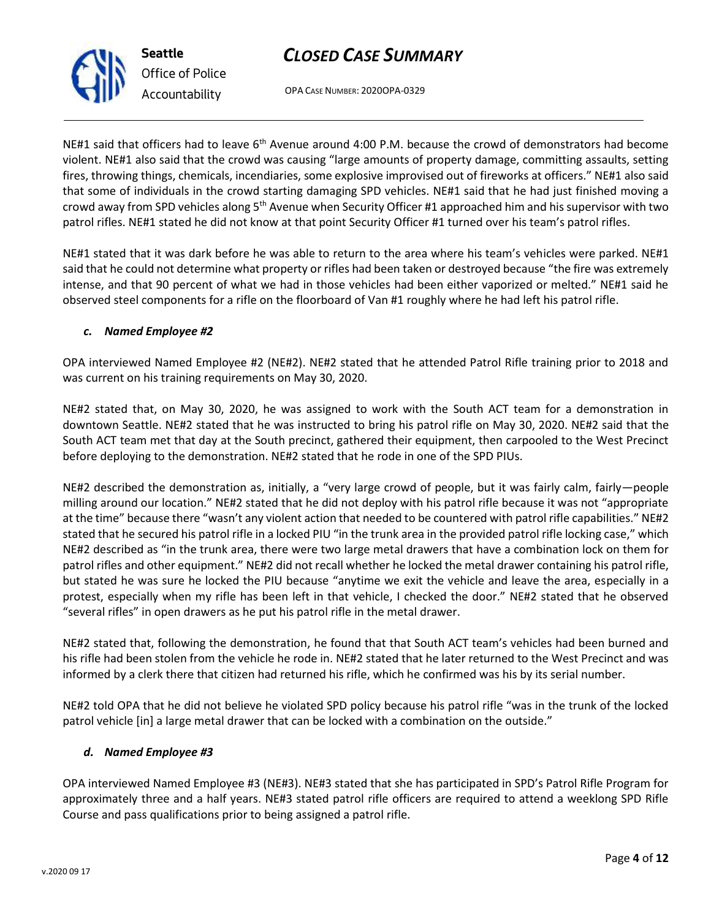OPA CASE NUMBER: 2020OPA-0329

NE#1 said that officers had to leave 6<sup>th</sup> Avenue around 4:00 P.M. because the crowd of demonstrators had become violent. NE#1 also said that the crowd was causing "large amounts of property damage, committing assaults, setting fires, throwing things, chemicals, incendiaries, some explosive improvised out of fireworks at officers." NE#1 also said that some of individuals in the crowd starting damaging SPD vehicles. NE#1 said that he had just finished moving a crowd away from SPD vehicles along  $5<sup>th</sup>$  Avenue when Security Officer #1 approached him and his supervisor with two patrol rifles. NE#1 stated he did not know at that point Security Officer #1 turned over his team's patrol rifles.

NE#1 stated that it was dark before he was able to return to the area where his team's vehicles were parked. NE#1 said that he could not determine what property or rifles had been taken or destroyed because "the fire was extremely intense, and that 90 percent of what we had in those vehicles had been either vaporized or melted." NE#1 said he observed steel components for a rifle on the floorboard of Van #1 roughly where he had left his patrol rifle.

## *c. Named Employee #2*

OPA interviewed Named Employee #2 (NE#2). NE#2 stated that he attended Patrol Rifle training prior to 2018 and was current on his training requirements on May 30, 2020.

NE#2 stated that, on May 30, 2020, he was assigned to work with the South ACT team for a demonstration in downtown Seattle. NE#2 stated that he was instructed to bring his patrol rifle on May 30, 2020. NE#2 said that the South ACT team met that day at the South precinct, gathered their equipment, then carpooled to the West Precinct before deploying to the demonstration. NE#2 stated that he rode in one of the SPD PIUs.

NE#2 described the demonstration as, initially, a "very large crowd of people, but it was fairly calm, fairly—people milling around our location." NE#2 stated that he did not deploy with his patrol rifle because it was not "appropriate at the time" because there "wasn't any violent action that needed to be countered with patrol rifle capabilities." NE#2 stated that he secured his patrol rifle in a locked PIU "in the trunk area in the provided patrol rifle locking case," which NE#2 described as "in the trunk area, there were two large metal drawers that have a combination lock on them for patrol rifles and other equipment." NE#2 did not recall whether he locked the metal drawer containing his patrol rifle, but stated he was sure he locked the PIU because "anytime we exit the vehicle and leave the area, especially in a protest, especially when my rifle has been left in that vehicle, I checked the door." NE#2 stated that he observed "several rifles" in open drawers as he put his patrol rifle in the metal drawer.

NE#2 stated that, following the demonstration, he found that that South ACT team's vehicles had been burned and his rifle had been stolen from the vehicle he rode in. NE#2 stated that he later returned to the West Precinct and was informed by a clerk there that citizen had returned his rifle, which he confirmed was his by its serial number.

NE#2 told OPA that he did not believe he violated SPD policy because his patrol rifle "was in the trunk of the locked patrol vehicle [in] a large metal drawer that can be locked with a combination on the outside."

## *d. Named Employee #3*

OPA interviewed Named Employee #3 (NE#3). NE#3 stated that she has participated in SPD's Patrol Rifle Program for approximately three and a half years. NE#3 stated patrol rifle officers are required to attend a weeklong SPD Rifle Course and pass qualifications prior to being assigned a patrol rifle.



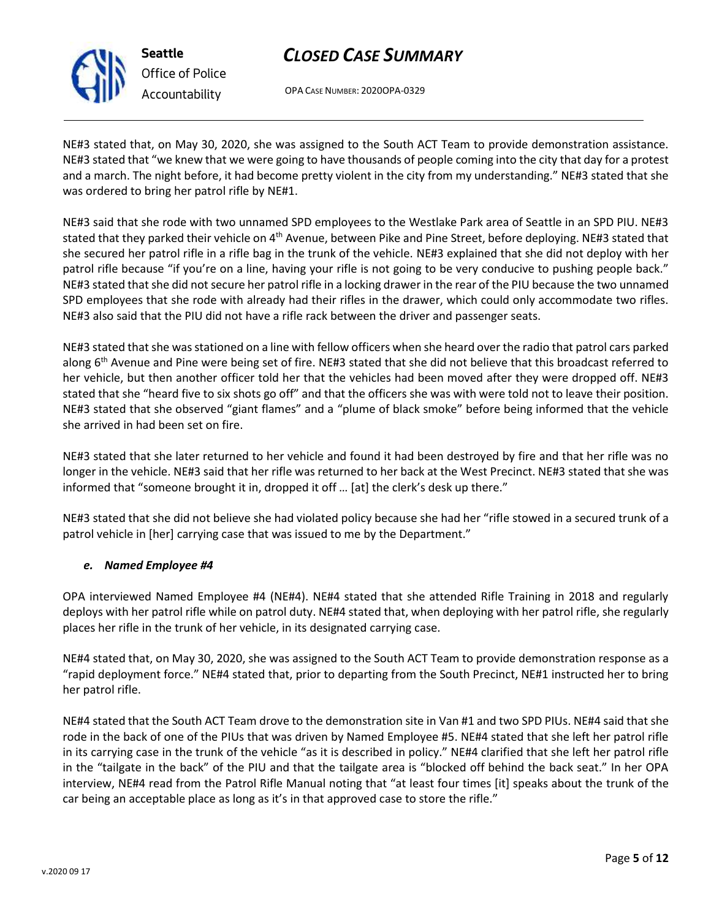

**Seattle** *Office of Police Accountability*

# *CLOSED CASE SUMMARY*

OPA CASE NUMBER: 2020OPA-0329

NE#3 stated that, on May 30, 2020, she was assigned to the South ACT Team to provide demonstration assistance. NE#3 stated that "we knew that we were going to have thousands of people coming into the city that day for a protest and a march. The night before, it had become pretty violent in the city from my understanding." NE#3 stated that she was ordered to bring her patrol rifle by NE#1.

NE#3 said that she rode with two unnamed SPD employees to the Westlake Park area of Seattle in an SPD PIU. NE#3 stated that they parked their vehicle on 4<sup>th</sup> Avenue, between Pike and Pine Street, before deploying. NE#3 stated that she secured her patrol rifle in a rifle bag in the trunk of the vehicle. NE#3 explained that she did not deploy with her patrol rifle because "if you're on a line, having your rifle is not going to be very conducive to pushing people back." NE#3 stated that she did not secure her patrol rifle in a locking drawer in the rear of the PIU because the two unnamed SPD employees that she rode with already had their rifles in the drawer, which could only accommodate two rifles. NE#3 also said that the PIU did not have a rifle rack between the driver and passenger seats.

NE#3 stated that she was stationed on a line with fellow officers when she heard over the radio that patrol cars parked along 6<sup>th</sup> Avenue and Pine were being set of fire. NE#3 stated that she did not believe that this broadcast referred to her vehicle, but then another officer told her that the vehicles had been moved after they were dropped off. NE#3 stated that she "heard five to six shots go off" and that the officers she was with were told not to leave their position. NE#3 stated that she observed "giant flames" and a "plume of black smoke" before being informed that the vehicle she arrived in had been set on fire.

NE#3 stated that she later returned to her vehicle and found it had been destroyed by fire and that her rifle was no longer in the vehicle. NE#3 said that her rifle was returned to her back at the West Precinct. NE#3 stated that she was informed that "someone brought it in, dropped it off … [at] the clerk's desk up there."

NE#3 stated that she did not believe she had violated policy because she had her "rifle stowed in a secured trunk of a patrol vehicle in [her] carrying case that was issued to me by the Department."

## *e. Named Employee #4*

OPA interviewed Named Employee #4 (NE#4). NE#4 stated that she attended Rifle Training in 2018 and regularly deploys with her patrol rifle while on patrol duty. NE#4 stated that, when deploying with her patrol rifle, she regularly places her rifle in the trunk of her vehicle, in its designated carrying case.

NE#4 stated that, on May 30, 2020, she was assigned to the South ACT Team to provide demonstration response as a "rapid deployment force." NE#4 stated that, prior to departing from the South Precinct, NE#1 instructed her to bring her patrol rifle.

NE#4 stated that the South ACT Team drove to the demonstration site in Van #1 and two SPD PIUs. NE#4 said that she rode in the back of one of the PIUs that was driven by Named Employee #5. NE#4 stated that she left her patrol rifle in its carrying case in the trunk of the vehicle "as it is described in policy." NE#4 clarified that she left her patrol rifle in the "tailgate in the back" of the PIU and that the tailgate area is "blocked off behind the back seat." In her OPA interview, NE#4 read from the Patrol Rifle Manual noting that "at least four times [it] speaks about the trunk of the car being an acceptable place as long as it's in that approved case to store the rifle."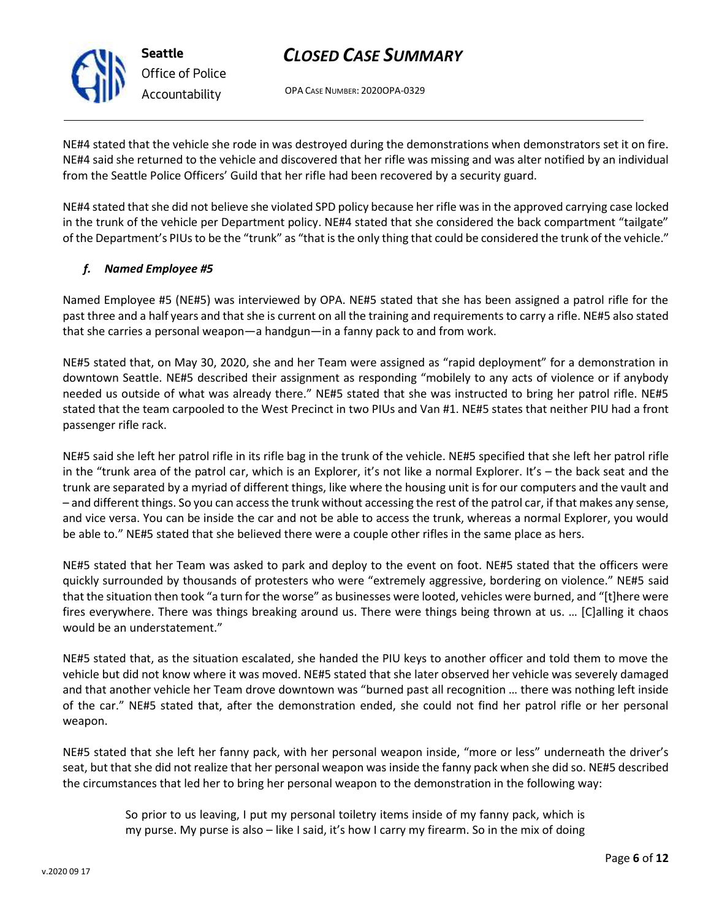OPA CASE NUMBER: 2020OPA-0329

NE#4 stated that the vehicle she rode in was destroyed during the demonstrations when demonstrators set it on fire. NE#4 said she returned to the vehicle and discovered that her rifle was missing and was alter notified by an individual from the Seattle Police Officers' Guild that her rifle had been recovered by a security guard.

NE#4 stated that she did not believe she violated SPD policy because her rifle was in the approved carrying case locked in the trunk of the vehicle per Department policy. NE#4 stated that she considered the back compartment "tailgate" of the Department's PIUs to be the "trunk" as "that is the only thing that could be considered the trunk of the vehicle."

## *f. Named Employee #5*

Named Employee #5 (NE#5) was interviewed by OPA. NE#5 stated that she has been assigned a patrol rifle for the past three and a half years and that she is current on all the training and requirements to carry a rifle. NE#5 also stated that she carries a personal weapon—a handgun—in a fanny pack to and from work.

NE#5 stated that, on May 30, 2020, she and her Team were assigned as "rapid deployment" for a demonstration in downtown Seattle. NE#5 described their assignment as responding "mobilely to any acts of violence or if anybody needed us outside of what was already there." NE#5 stated that she was instructed to bring her patrol rifle. NE#5 stated that the team carpooled to the West Precinct in two PIUs and Van #1. NE#5 states that neither PIU had a front passenger rifle rack.

NE#5 said she left her patrol rifle in its rifle bag in the trunk of the vehicle. NE#5 specified that she left her patrol rifle in the "trunk area of the patrol car, which is an Explorer, it's not like a normal Explorer. It's – the back seat and the trunk are separated by a myriad of different things, like where the housing unit is for our computers and the vault and – and different things. So you can access the trunk without accessing the rest of the patrol car, if that makes any sense, and vice versa. You can be inside the car and not be able to access the trunk, whereas a normal Explorer, you would be able to." NE#5 stated that she believed there were a couple other rifles in the same place as hers.

NE#5 stated that her Team was asked to park and deploy to the event on foot. NE#5 stated that the officers were quickly surrounded by thousands of protesters who were "extremely aggressive, bordering on violence." NE#5 said that the situation then took "a turn for the worse" as businesses were looted, vehicles were burned, and "[t]here were fires everywhere. There was things breaking around us. There were things being thrown at us. … [C]alling it chaos would be an understatement."

NE#5 stated that, as the situation escalated, she handed the PIU keys to another officer and told them to move the vehicle but did not know where it was moved. NE#5 stated that she later observed her vehicle was severely damaged and that another vehicle her Team drove downtown was "burned past all recognition … there was nothing left inside of the car." NE#5 stated that, after the demonstration ended, she could not find her patrol rifle or her personal weapon.

NE#5 stated that she left her fanny pack, with her personal weapon inside, "more or less" underneath the driver's seat, but that she did not realize that her personal weapon was inside the fanny pack when she did so. NE#5 described the circumstances that led her to bring her personal weapon to the demonstration in the following way:

> So prior to us leaving, I put my personal toiletry items inside of my fanny pack, which is my purse. My purse is also – like I said, it's how I carry my firearm. So in the mix of doing



**Seattle** *Office of Police Accountability*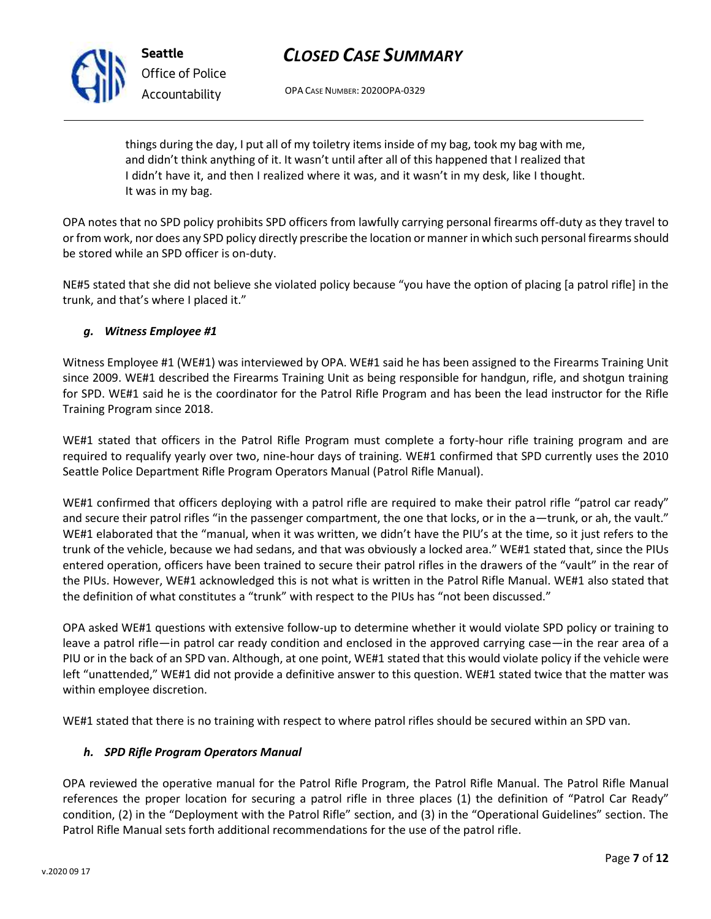OPA CASE NUMBER: 2020OPA-0329

things during the day, I put all of my toiletry items inside of my bag, took my bag with me, and didn't think anything of it. It wasn't until after all of this happened that I realized that I didn't have it, and then I realized where it was, and it wasn't in my desk, like I thought. It was in my bag.

OPA notes that no SPD policy prohibits SPD officers from lawfully carrying personal firearms off-duty as they travel to or from work, nor does any SPD policy directly prescribe the location or manner in which such personal firearms should be stored while an SPD officer is on-duty.

NE#5 stated that she did not believe she violated policy because "you have the option of placing [a patrol rifle] in the trunk, and that's where I placed it."

## *g. Witness Employee #1*

Witness Employee #1 (WE#1) was interviewed by OPA. WE#1 said he has been assigned to the Firearms Training Unit since 2009. WE#1 described the Firearms Training Unit as being responsible for handgun, rifle, and shotgun training for SPD. WE#1 said he is the coordinator for the Patrol Rifle Program and has been the lead instructor for the Rifle Training Program since 2018.

WE#1 stated that officers in the Patrol Rifle Program must complete a forty-hour rifle training program and are required to requalify yearly over two, nine-hour days of training. WE#1 confirmed that SPD currently uses the 2010 Seattle Police Department Rifle Program Operators Manual (Patrol Rifle Manual).

WE#1 confirmed that officers deploying with a patrol rifle are required to make their patrol rifle "patrol car ready" and secure their patrol rifles "in the passenger compartment, the one that locks, or in the a—trunk, or ah, the vault." WE#1 elaborated that the "manual, when it was written, we didn't have the PIU's at the time, so it just refers to the trunk of the vehicle, because we had sedans, and that was obviously a locked area." WE#1 stated that, since the PIUs entered operation, officers have been trained to secure their patrol rifles in the drawers of the "vault" in the rear of the PIUs. However, WE#1 acknowledged this is not what is written in the Patrol Rifle Manual. WE#1 also stated that the definition of what constitutes a "trunk" with respect to the PIUs has "not been discussed."

OPA asked WE#1 questions with extensive follow-up to determine whether it would violate SPD policy or training to leave a patrol rifle—in patrol car ready condition and enclosed in the approved carrying case—in the rear area of a PIU or in the back of an SPD van. Although, at one point, WE#1 stated that this would violate policy if the vehicle were left "unattended," WE#1 did not provide a definitive answer to this question. WE#1 stated twice that the matter was within employee discretion.

WE#1 stated that there is no training with respect to where patrol rifles should be secured within an SPD van.

## *h. SPD Rifle Program Operators Manual*

OPA reviewed the operative manual for the Patrol Rifle Program, the Patrol Rifle Manual. The Patrol Rifle Manual references the proper location for securing a patrol rifle in three places (1) the definition of "Patrol Car Ready" condition, (2) in the "Deployment with the Patrol Rifle" section, and (3) in the "Operational Guidelines" section. The Patrol Rifle Manual sets forth additional recommendations for the use of the patrol rifle.



**Seattle** *Office of Police Accountability*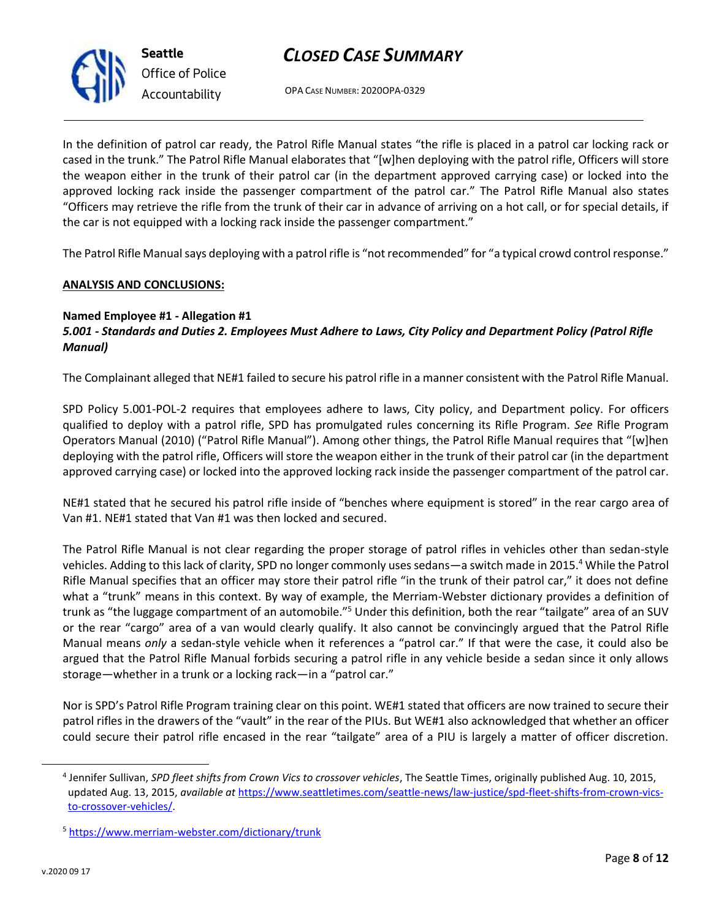

**Seattle** *Office of Police Accountability*

OPA CASE NUMBER: 2020OPA-0329

In the definition of patrol car ready, the Patrol Rifle Manual states "the rifle is placed in a patrol car locking rack or cased in the trunk." The Patrol Rifle Manual elaborates that "[w]hen deploying with the patrol rifle, Officers will store the weapon either in the trunk of their patrol car (in the department approved carrying case) or locked into the approved locking rack inside the passenger compartment of the patrol car." The Patrol Rifle Manual also states "Officers may retrieve the rifle from the trunk of their car in advance of arriving on a hot call, or for special details, if the car is not equipped with a locking rack inside the passenger compartment."

The Patrol Rifle Manual says deploying with a patrol rifle is "not recommended" for "a typical crowd control response."

## **ANALYSIS AND CONCLUSIONS:**

## **Named Employee #1 - Allegation #1**

## *5.001 - Standards and Duties 2. Employees Must Adhere to Laws, City Policy and Department Policy (Patrol Rifle Manual)*

The Complainant alleged that NE#1 failed to secure his patrol rifle in a manner consistent with the Patrol Rifle Manual.

SPD Policy 5.001-POL-2 requires that employees adhere to laws, City policy, and Department policy. For officers qualified to deploy with a patrol rifle, SPD has promulgated rules concerning its Rifle Program. *See* Rifle Program Operators Manual (2010) ("Patrol Rifle Manual"). Among other things, the Patrol Rifle Manual requires that "[w]hen deploying with the patrol rifle, Officers will store the weapon either in the trunk of their patrol car (in the department approved carrying case) or locked into the approved locking rack inside the passenger compartment of the patrol car.

NE#1 stated that he secured his patrol rifle inside of "benches where equipment is stored" in the rear cargo area of Van #1. NE#1 stated that Van #1 was then locked and secured.

The Patrol Rifle Manual is not clear regarding the proper storage of patrol rifles in vehicles other than sedan-style vehicles. Adding to this lack of clarity, SPD no longer commonly uses sedans—a switch made in 2015.<sup>4</sup> While the Patrol Rifle Manual specifies that an officer may store their patrol rifle "in the trunk of their patrol car," it does not define what a "trunk" means in this context. By way of example, the Merriam-Webster dictionary provides a definition of trunk as "the luggage compartment of an automobile."<sup>5</sup> Under this definition, both the rear "tailgate" area of an SUV or the rear "cargo" area of a van would clearly qualify. It also cannot be convincingly argued that the Patrol Rifle Manual means *only* a sedan-style vehicle when it references a "patrol car." If that were the case, it could also be argued that the Patrol Rifle Manual forbids securing a patrol rifle in any vehicle beside a sedan since it only allows storage—whether in a trunk or a locking rack—in a "patrol car."

Nor is SPD's Patrol Rifle Program training clear on this point. WE#1 stated that officers are now trained to secure their patrol rifles in the drawers of the "vault" in the rear of the PIUs. But WE#1 also acknowledged that whether an officer could secure their patrol rifle encased in the rear "tailgate" area of a PIU is largely a matter of officer discretion.

<sup>4</sup> Jennifer Sullivan, *SPD fleet shifts from Crown Vics to crossover vehicles*, The Seattle Times, originally published Aug. 10, 2015, updated Aug. 13, 2015, *available at* [https://www.seattletimes.com/seattle-news/law-justice/spd-fleet-shifts-from-crown-vics](https://www.seattletimes.com/seattle-news/law-justice/spd-fleet-shifts-from-crown-vics-to-crossover-vehicles/)[to-crossover-vehicles/.](https://www.seattletimes.com/seattle-news/law-justice/spd-fleet-shifts-from-crown-vics-to-crossover-vehicles/)

<sup>5</sup> <https://www.merriam-webster.com/dictionary/trunk>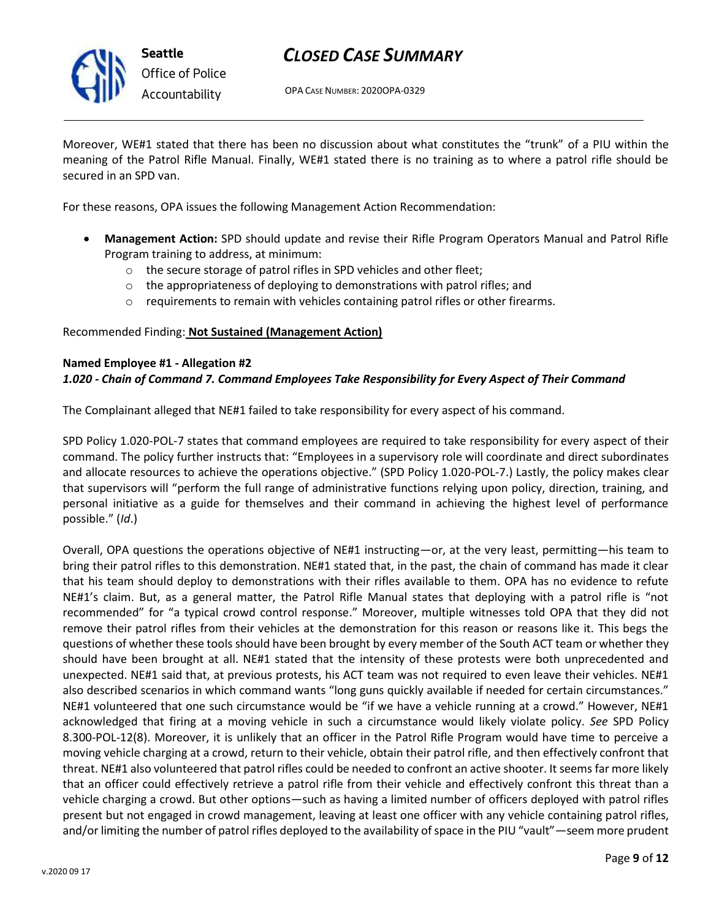

OPA CASE NUMBER: 2020OPA-0329

Moreover, WE#1 stated that there has been no discussion about what constitutes the "trunk" of a PIU within the meaning of the Patrol Rifle Manual. Finally, WE#1 stated there is no training as to where a patrol rifle should be secured in an SPD van.

For these reasons, OPA issues the following Management Action Recommendation:

- **Management Action:** SPD should update and revise their Rifle Program Operators Manual and Patrol Rifle Program training to address, at minimum:
	- o the secure storage of patrol rifles in SPD vehicles and other fleet;
	- o the appropriateness of deploying to demonstrations with patrol rifles; and
	- $\circ$  requirements to remain with vehicles containing patrol rifles or other firearms.

### Recommended Finding: **Not Sustained (Management Action)**

#### **Named Employee #1 - Allegation #2**

## *1.020 - Chain of Command 7. Command Employees Take Responsibility for Every Aspect of Their Command*

The Complainant alleged that NE#1 failed to take responsibility for every aspect of his command.

SPD Policy 1.020-POL-7 states that command employees are required to take responsibility for every aspect of their command. The policy further instructs that: "Employees in a supervisory role will coordinate and direct subordinates and allocate resources to achieve the operations objective." (SPD Policy 1.020-POL-7.) Lastly, the policy makes clear that supervisors will "perform the full range of administrative functions relying upon policy, direction, training, and personal initiative as a guide for themselves and their command in achieving the highest level of performance possible." (*Id*.)

Overall, OPA questions the operations objective of NE#1 instructing—or, at the very least, permitting—his team to bring their patrol rifles to this demonstration. NE#1 stated that, in the past, the chain of command has made it clear that his team should deploy to demonstrations with their rifles available to them. OPA has no evidence to refute NE#1's claim. But, as a general matter, the Patrol Rifle Manual states that deploying with a patrol rifle is "not recommended" for "a typical crowd control response." Moreover, multiple witnesses told OPA that they did not remove their patrol rifles from their vehicles at the demonstration for this reason or reasons like it. This begs the questions of whether these tools should have been brought by every member of the South ACT team or whether they should have been brought at all. NE#1 stated that the intensity of these protests were both unprecedented and unexpected. NE#1 said that, at previous protests, his ACT team was not required to even leave their vehicles. NE#1 also described scenarios in which command wants "long guns quickly available if needed for certain circumstances." NE#1 volunteered that one such circumstance would be "if we have a vehicle running at a crowd." However, NE#1 acknowledged that firing at a moving vehicle in such a circumstance would likely violate policy. *See* SPD Policy 8.300-POL-12(8). Moreover, it is unlikely that an officer in the Patrol Rifle Program would have time to perceive a moving vehicle charging at a crowd, return to their vehicle, obtain their patrol rifle, and then effectively confront that threat. NE#1 also volunteered that patrol rifles could be needed to confront an active shooter. It seems far more likely that an officer could effectively retrieve a patrol rifle from their vehicle and effectively confront this threat than a vehicle charging a crowd. But other options—such as having a limited number of officers deployed with patrol rifles present but not engaged in crowd management, leaving at least one officer with any vehicle containing patrol rifles, and/or limiting the number of patrol rifles deployed to the availability of space in the PIU "vault"—seem more prudent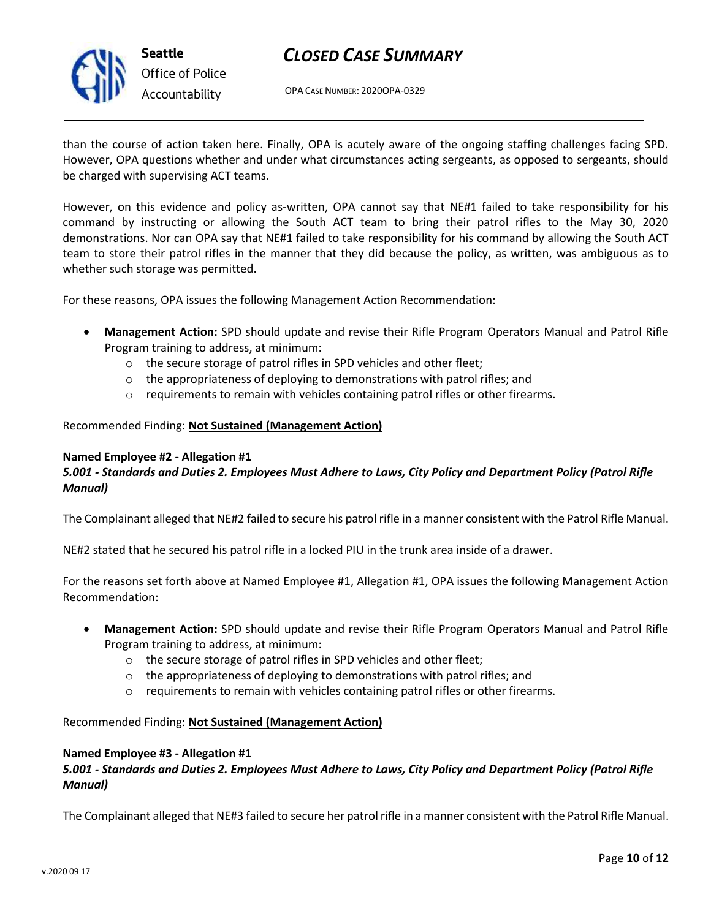

**Seattle** *Office of Police Accountability*

## *CLOSED CASE SUMMARY*

OPA CASE NUMBER: 2020OPA-0329

than the course of action taken here. Finally, OPA is acutely aware of the ongoing staffing challenges facing SPD. However, OPA questions whether and under what circumstances acting sergeants, as opposed to sergeants, should be charged with supervising ACT teams.

However, on this evidence and policy as-written, OPA cannot say that NE#1 failed to take responsibility for his command by instructing or allowing the South ACT team to bring their patrol rifles to the May 30, 2020 demonstrations. Nor can OPA say that NE#1 failed to take responsibility for his command by allowing the South ACT team to store their patrol rifles in the manner that they did because the policy, as written, was ambiguous as to whether such storage was permitted.

For these reasons, OPA issues the following Management Action Recommendation:

- **Management Action:** SPD should update and revise their Rifle Program Operators Manual and Patrol Rifle Program training to address, at minimum:
	- o the secure storage of patrol rifles in SPD vehicles and other fleet;
	- $\circ$  the appropriateness of deploying to demonstrations with patrol rifles; and
	- o requirements to remain with vehicles containing patrol rifles or other firearms.

### Recommended Finding: **Not Sustained (Management Action)**

### **Named Employee #2 - Allegation #1**

## *5.001 - Standards and Duties 2. Employees Must Adhere to Laws, City Policy and Department Policy (Patrol Rifle Manual)*

The Complainant alleged that NE#2 failed to secure his patrol rifle in a manner consistent with the Patrol Rifle Manual.

NE#2 stated that he secured his patrol rifle in a locked PIU in the trunk area inside of a drawer.

For the reasons set forth above at Named Employee #1, Allegation #1, OPA issues the following Management Action Recommendation:

- **Management Action:** SPD should update and revise their Rifle Program Operators Manual and Patrol Rifle Program training to address, at minimum:
	- o the secure storage of patrol rifles in SPD vehicles and other fleet;
	- o the appropriateness of deploying to demonstrations with patrol rifles; and
	- $\circ$  requirements to remain with vehicles containing patrol rifles or other firearms.

### Recommended Finding: **Not Sustained (Management Action)**

#### **Named Employee #3 - Allegation #1**

### *5.001 - Standards and Duties 2. Employees Must Adhere to Laws, City Policy and Department Policy (Patrol Rifle Manual)*

The Complainant alleged that NE#3 failed to secure her patrol rifle in a manner consistent with the Patrol Rifle Manual.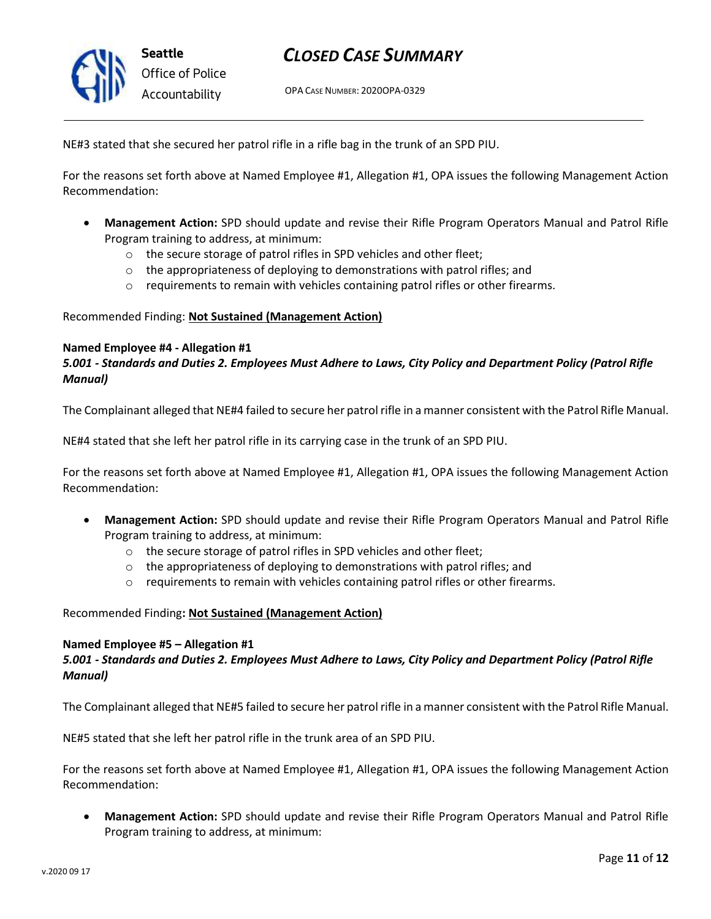

OPA CASE NUMBER: 2020OPA-0329

NE#3 stated that she secured her patrol rifle in a rifle bag in the trunk of an SPD PIU.

For the reasons set forth above at Named Employee #1, Allegation #1, OPA issues the following Management Action Recommendation:

- **Management Action:** SPD should update and revise their Rifle Program Operators Manual and Patrol Rifle Program training to address, at minimum:
	- o the secure storage of patrol rifles in SPD vehicles and other fleet;
	- $\circ$  the appropriateness of deploying to demonstrations with patrol rifles; and
	- o requirements to remain with vehicles containing patrol rifles or other firearms.

#### Recommended Finding: **Not Sustained (Management Action)**

#### **Named Employee #4 - Allegation #1**

### *5.001 - Standards and Duties 2. Employees Must Adhere to Laws, City Policy and Department Policy (Patrol Rifle Manual)*

The Complainant alleged that NE#4 failed to secure her patrol rifle in a manner consistent with the Patrol Rifle Manual.

NE#4 stated that she left her patrol rifle in its carrying case in the trunk of an SPD PIU.

For the reasons set forth above at Named Employee #1, Allegation #1, OPA issues the following Management Action Recommendation:

- **Management Action:** SPD should update and revise their Rifle Program Operators Manual and Patrol Rifle Program training to address, at minimum:
	- o the secure storage of patrol rifles in SPD vehicles and other fleet;
	- o the appropriateness of deploying to demonstrations with patrol rifles; and
	- $\circ$  requirements to remain with vehicles containing patrol rifles or other firearms.

#### Recommended Finding**: Not Sustained (Management Action)**

#### **Named Employee #5 – Allegation #1**

### *5.001 - Standards and Duties 2. Employees Must Adhere to Laws, City Policy and Department Policy (Patrol Rifle Manual)*

The Complainant alleged that NE#5 failed to secure her patrol rifle in a manner consistent with the Patrol Rifle Manual.

NE#5 stated that she left her patrol rifle in the trunk area of an SPD PIU.

For the reasons set forth above at Named Employee #1, Allegation #1, OPA issues the following Management Action Recommendation:

• **Management Action:** SPD should update and revise their Rifle Program Operators Manual and Patrol Rifle Program training to address, at minimum: